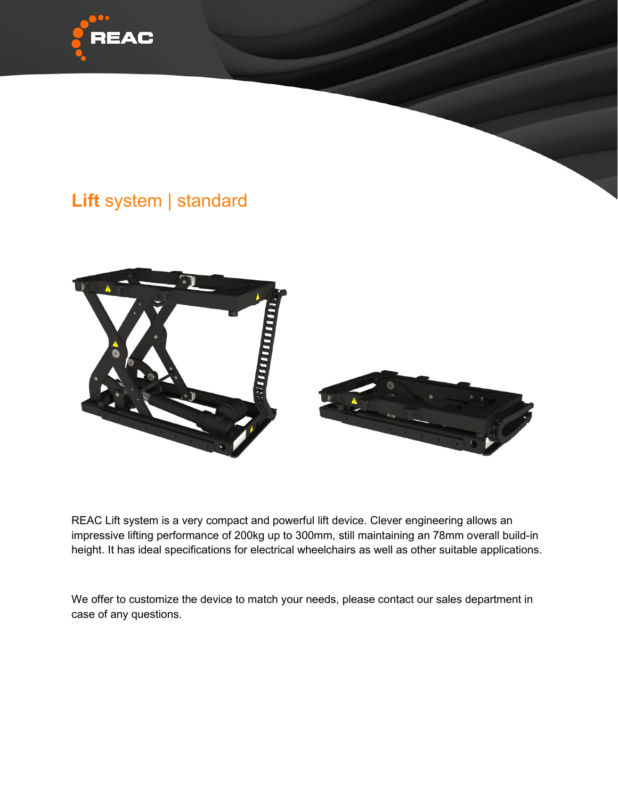

# **Lift** system | standard



REAC Lift system is a very compact and powerful lift device. Clever engineering allows an impressive lifting performance of 200kg up to 300mm, still maintaining an 78mm overall build-in height. It has ideal specifications for electrical wheelchairs as well as other suitable applications.

We offer to customize the device to match your needs, please contact our sales department in case of any questions.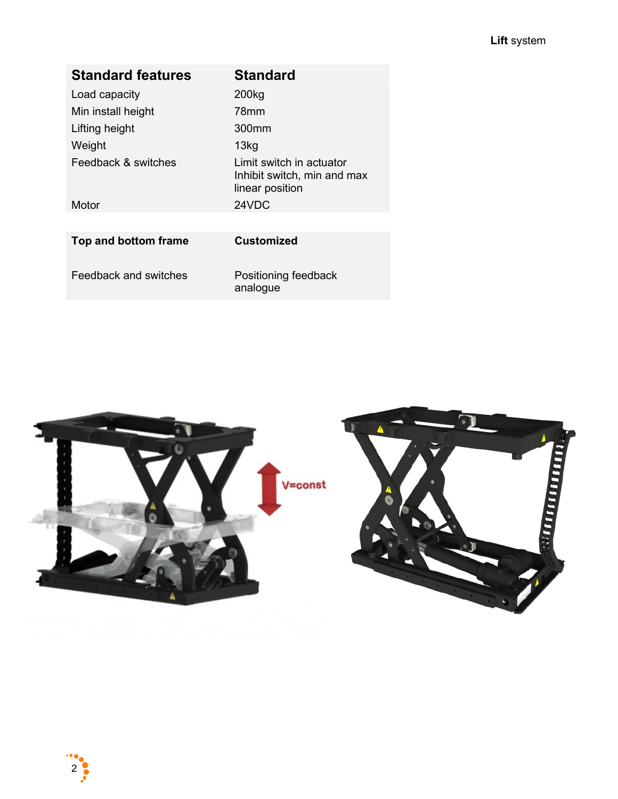| <b>Standard features</b>     | <b>Standard</b>                                                             |
|------------------------------|-----------------------------------------------------------------------------|
| Load capacity                | 200 <sub>kg</sub>                                                           |
| Min install height           | 78mm                                                                        |
| Lifting height               | 300 <sub>mm</sub>                                                           |
| Weight                       | 13kg                                                                        |
| Feedback & switches          | I imit switch in actuator<br>Inhibit switch, min and max<br>linear position |
| Motor                        | 24VDC                                                                       |
|                              |                                                                             |
| Top and bottom frame         | Customized                                                                  |
| <b>Feedback and switches</b> | Positioning feedback<br>analogue                                            |